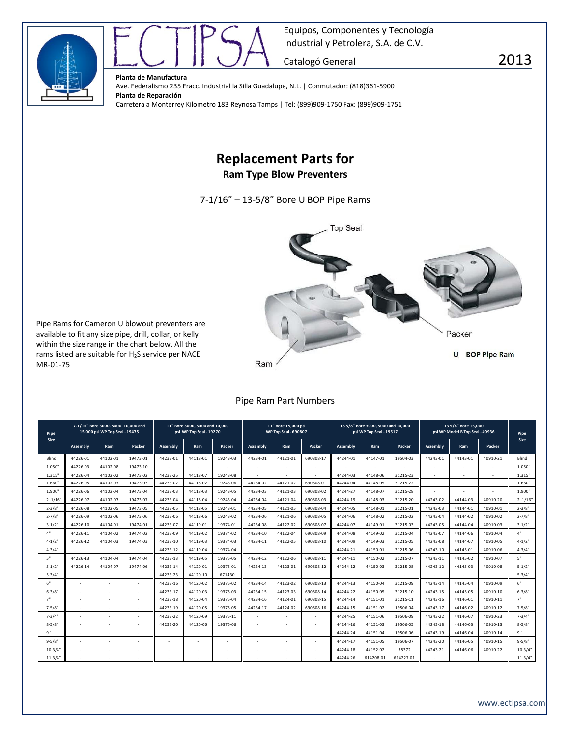



**Planta de Manufactura** Ave. Federalismo 235 Fracc. Industrial la Silla Guadalupe, N.L. | Conmutador: (818)361-5900 **Planta de Reparación** Carretera a Monterrey Kilometro 183 Reynosa Tamps | Tel: (899)909-1750 Fax: (899)909-1751

## **Replacement Parts for**

**Ram Type Blow Preventers**

7-1/16" – 13-5/8" Bore U BOP Pipe Rams



Pipe Rams for Cameron U blowout preventers are available to fit any size pipe, drill, collar, or kelly within the size range in the chart below. All the rams listed are suitable for H<sub>2</sub>S service per NACE MR-01-75

## Pipe Ram Part Numbers

| Pipe<br>Size | 7-1/16" Bore 3000, 5000, 10,000 and<br>15,000 psi WP Top Seal - 19475 |          |          | 11" Bore 3000, 5000 and 10,000<br>psi WP Top Seal - 19270 |          |          | 11" Bore 15,000 psi<br><b>WP Top Seal - 690807</b> |          |           | 135/8" Bore 3000, 5000 and 10,000<br>psi WP Top Seal - 19517 |           |           | 13 5/8" Bore 15,000<br>psi WP Model B Top Seal - 40936 |          |          | Pipe          |
|--------------|-----------------------------------------------------------------------|----------|----------|-----------------------------------------------------------|----------|----------|----------------------------------------------------|----------|-----------|--------------------------------------------------------------|-----------|-----------|--------------------------------------------------------|----------|----------|---------------|
|              | Assembly                                                              | Ram      | Packer   | <b>Assembly</b>                                           | Ram      | Packer   | <b>Assembly</b>                                    | Ram      | Packer    | <b>Assembly</b>                                              | Ram       | Packer    | <b>Assembly</b>                                        | Ram      | Packer   | Size          |
| Blind        | 44226-01                                                              | 44102-01 | 19473-01 | 44233-01                                                  | 44118-01 | 19243-03 | 44234-01                                           | 44121-01 | 690808-17 | 44244-01                                                     | 44147-01  | 19504-03  | 44243-01                                               | 44143-01 | 40910-21 | Blind         |
| 1.050"       | 44226-03                                                              | 44102-08 | 19473-10 |                                                           |          |          | ٠                                                  |          |           |                                                              |           |           |                                                        |          |          | 1.050"        |
| 1.315"       | 44226-04                                                              | 44102-02 | 19473-02 | 44233-25                                                  | 44118-07 | 19243-08 | ÷.                                                 |          |           | 44244-03                                                     | 44148-06  | 31215-23  | $\overline{\phantom{a}}$                               | a.       | ٠        | 1.315"        |
| 1.660"       | 44226-05                                                              | 44102-03 | 19473-03 | 44233-02                                                  | 44118-02 | 19243-06 | 44234-02                                           | 44121-02 | 690808-01 | 44244-04                                                     | 44148-05  | 31215-22  |                                                        |          | ٠        | 1.660"        |
| 1.900"       | 44226-06                                                              | 44102-04 | 19473-04 | 44233-03                                                  | 44118-03 | 19243-05 | 44234-03                                           | 44121-03 | 690808-02 | 44244-27                                                     | 44148-07  | 31215-28  |                                                        |          | ٠        | 1.900"        |
| $2 - 1/16'$  | 44226-07                                                              | 44102-07 | 19473-07 | 44233-04                                                  | 44118-04 | 19243-04 | 44234-04                                           | 44121-04 | 690808-03 | 44244-19                                                     | 44148-03  | 31215-20  | 44243-02                                               | 44144-03 | 40910-20 | $2 - 1/16'$   |
| $2 - 3/8"$   | 44226-08                                                              | 44102-05 | 19473-05 | 44233-05                                                  | 44118-05 | 19243-01 | 44234-05                                           | 44121-05 | 690808-04 | 44244-05                                                     | 44148-01  | 31215-01  | 44243-03                                               | 44144-01 | 40910-01 | $2 - 3/8"$    |
| $2 - 7/8"$   | 44226-09                                                              | 44102-06 | 19473-06 | 44233-06                                                  | 44118-06 | 19243-02 | 44234-06                                           | 44121-06 | 690808-05 | 44244-06                                                     | 44148-02  | 31215-02  | 44243-04                                               | 44144-02 | 40910-02 | $2 - 7/8"$    |
| $3 - 1/2$ "  | 44226-10                                                              | 44104-01 | 19474-01 | 44233-07                                                  | 44119-01 | 19374-01 | 44234-08                                           | 44122-02 | 690808-07 | 44244-07                                                     | 44149-01  | 31215-03  | 44243-05                                               | 44144-04 | 40910-03 | $3 - 1/2"$    |
| 4"           | 44226-11                                                              | 44104-02 | 19474-02 | 44233-09                                                  | 44119-02 | 19374-02 | 44234-10                                           | 44122-04 | 690808-09 | 44244-08                                                     | 44149-02  | 31215-04  | 44243-07                                               | 44144-06 | 40910-04 | 4"            |
| $4 - 1/2$ "  | 44226-12                                                              | 44104-03 | 19474-03 | 44233-10                                                  | 44119-03 | 19374-03 | 44234-11                                           | 44122-05 | 690808-10 | 44244-09                                                     | 44149-03  | 31215-05  | 44243-08                                               | 44144-07 | 40910-05 | $4 - 1/2$ "   |
| $4 - 3/4"$   |                                                                       | ٠        |          | 44233-12                                                  | 44119-04 | 19374-04 |                                                    |          |           | 44244-21                                                     | 44150-01  | 31215-06  | 44243-10                                               | 44145-01 | 40910-06 | $4 - 3 / 4$ " |
| 5"           | 44226-13                                                              | 44104-04 | 19474-04 | 44233-13                                                  | 44119-05 | 19375-05 | 44234-12                                           | 44122-06 | 690808-11 | 44244-11                                                     | 44150-02  | 31215-07  | 44243-11                                               | 44145-02 | 40910-07 | 5"            |
| $5 - 1/2$    | 44226-14                                                              | 44104-07 | 19474-06 | 44233-14                                                  | 44120-01 | 19375-01 | 44234-13                                           | 44123-01 | 690808-12 | 44244-12                                                     | 44150-03  | 31215-08  | 44243-12                                               | 44145-03 | 40910-08 | $5 - 1/2$     |
| $5 - 3/4"$   |                                                                       |          |          | 44233-23                                                  | 44120-10 | 671430   |                                                    |          |           |                                                              |           |           |                                                        |          |          | $5 - 3/4"$    |
| 6"           |                                                                       | ٠        | $\sim$   | 44233-16                                                  | 44120-02 | 19375-02 | 44234-14                                           | 44123-02 | 690808-13 | 44244-13                                                     | 44150-04  | 31215-09  | 44243-14                                               | 44145-04 | 40910-09 | 6"            |
| $6 - 3/8$    |                                                                       |          |          | 44233-17                                                  | 44120-03 | 19375-03 | 44234-15                                           | 44123-03 | 690808-14 | 44244-22                                                     | 44150-05  | 31215-10  | 44243-15                                               | 44145-05 | 40910-10 | $6 - 3/8"$    |
| 7"           |                                                                       |          |          | 44233-18                                                  | 44120-04 | 19375-04 | 44234-16                                           | 44124-01 | 690808-15 | 44244-14                                                     | 44151-01  | 31215-11  | 44243-16                                               | 44146-01 | 40910-11 | 7"            |
| $7 - 5/8$    |                                                                       | ٠        |          | 44233-19                                                  | 44120-05 | 19375-05 | 44234-17                                           | 44124-02 | 690808-16 | 44244-15                                                     | 44151-02  | 19506-04  | 44243-17                                               | 44146-02 | 40910-12 | $7 - 5/8$     |
| $7 - 3/4$ "  |                                                                       |          |          | 44233-22                                                  | 44120-09 | 19375-11 |                                                    |          |           | 44244-25                                                     | 44151-06  | 19506-09  | 44243-22                                               | 44146-07 | 40910-23 | $7 - 3/4"$    |
| $8 - 5/8$ "  |                                                                       | ٠        |          | 44233-20                                                  | 44120-06 | 19375-06 | ٠                                                  | ٠        |           | 44244-16                                                     | 44151-03  | 19506-05  | 44243-18                                               | 44146-03 | 40910-13 | $8 - 5/8$     |
| <b>q</b> "   | $\sim$                                                                | ٠        | $\sim$   |                                                           | ٠        |          | $\sim$                                             | ٠        |           | 44244-24                                                     | 44151-04  | 19506-06  | 44243-19                                               | 44146-04 | 40910-14 | <b>q</b> "    |
| $9 - 5/8"$   | $\sim$                                                                | ٠        | $\sim$   | $\sim$                                                    | $\sim$   | $\sim$   | $\sim$                                             | ٠        | $\sim$    | 44244-17                                                     | 44151-05  | 19506-07  | 44243-20                                               | 44146-05 | 40910-15 | $9 - 5/8$     |
| $10 - 3/4'$  |                                                                       |          |          |                                                           | ٠        |          | ÷.                                                 |          |           | 44244-18                                                     | 44152-02  | 38372     | 44243-21                                               | 44146-06 | 40910-22 | $10 - 3/4"$   |
| $11 - 3/4"$  |                                                                       |          |          |                                                           |          |          |                                                    |          |           | 44244-26                                                     | 614208-01 | 614227-01 |                                                        |          |          | $11 - 3/4"$   |